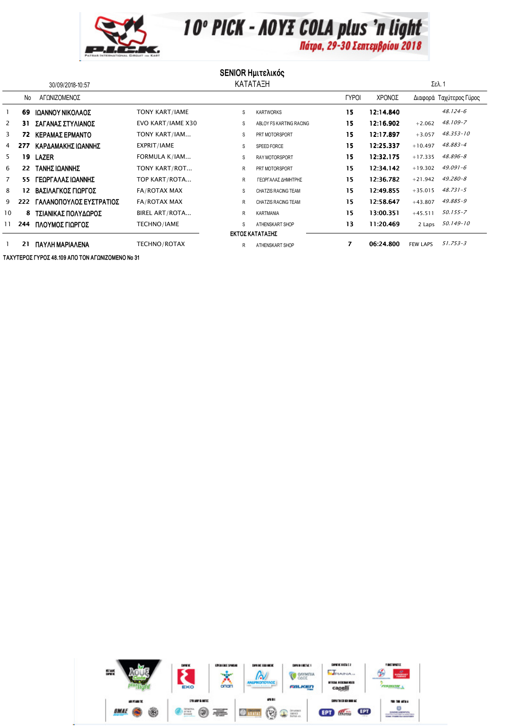

10° PICK - AOYE COLA plus 'n light

## **SENIOR Ημιτελικός**

| 30/09/2018-10:57 |     |                         | ΚΑΤΑΤΑΞΗ              |    |                            |              |           | Σελ. 1          |                         |  |
|------------------|-----|-------------------------|-----------------------|----|----------------------------|--------------|-----------|-----------------|-------------------------|--|
|                  | No  | ΑΓΩΝΙΖΟΜΕΝΟΣ            |                       |    |                            | <b>TYPOI</b> | ΧΡΟΝΟΣ    |                 | Διαφορά Ταχύτερος Γύρος |  |
|                  | 69  | ΙΩΑΝΝΟΥ ΝΙΚΟΛΑΟΣ        | <b>TONY KART/IAME</b> | s  | <b>KARTWORKS</b>           | 15           | 12:14.840 |                 | $48.124 - 6$            |  |
| 2                | 31  | ΣΑΓΑΝΑΣ ΣΤΥΛΙΑΝΟΣ       | EVO KART/IAME X30     | S  | ABLOY FS KARTING RACING    | 15           | 12:16.902 | $+2.062$        | 48.109-7                |  |
| 3                | 72  | ΚΕΡΑΜΑΣ ΕΡΜΑΝΤΟ         | TONY KART/IAM         | S  | PRT MOTORSPORT             | 15           | 12:17.897 | $+3.057$        | $48.353 - 10$           |  |
| 4                | 277 | ΚΑΡΔΑΜΑΚΗΣ ΙΩΑΝΝΗΣ      | EXPRIT/IAME           | S  | SPEED FORCE                | 15           | 12:25.337 | $+10.497$       | 48.883-4                |  |
| 5.               | 19  | <b>LAZER</b>            | FORMULA K/IAM         | s  | RAY MOTORSPORT             | 15           | 12:32.175 | $+17.335$       | $48.896 - 8$            |  |
| 6                | 22  | ΤΑΝΗΣ ΙΩΑΝΝΗΣ           | TONY KART/ROT         | R  | PRT MOTORSPORT             | 15           | 12:34.142 | $+19.302$       | $49.091 - 6$            |  |
|                  | 55  | ΓΕΩΡΓΑΛΑΣ ΙΩΑΝΝΗΣ       | TOP KART/ROTA         | R  | ΓΕΩΡΓΑΛΑΣ ΔΗΜΗΤΡΗΣ         | 15           | 12:36.782 | $+21.942$       | $49.280 - 8$            |  |
| 8                | 12  | ΒΑΣΙΛΑΓΚΟΣ ΓΙΩΡΓΟΣ      | FA/ROTAX MAX          | S  | <b>CHATZIS RACING TEAM</b> | 15           | 12:49.855 | $+35.015$       | $48.731 - 5$            |  |
| 9                | 222 | ΓΑΛΑΝΟΠΟΥΛΟΣ ΕΥΣΤΡΑΤΙΟΣ | FA/ROTAX MAX          | R  | <b>CHATZIS RACING TEAM</b> | 15           | 12:58.647 | $+43.807$       | 49.885-9                |  |
| 10               | 8   | ΤΣΙΑΝΙΚΑΣ ΠΟΛΥΔΩΡΟΣ     | BIREL ART/ROTA        | R. | KARTMANIA                  | 15           | 13:00.351 | $+45.511$       | $50.155 - 7$            |  |
| 11               | 244 | ΠΛΟΥΜΟΣ ΓΙΩΡΓΟΣ         | TECHNO/IAME           |    | ATHENSKART SHOP            | 13           | 11:20.469 | 2 Laps          | 50.149-10               |  |
| ΕΚΤΟΣ ΚΑΤΑΤΑΞΗΣ  |     |                         |                       |    |                            |              |           |                 |                         |  |
|                  | 21  | ΠΑΥΛΗ ΜΑΡΙΑΛΕΝΑ         | TECHNO/ROTAX          | R. | ATHENSKART SHOP            | 7            | 06:24.800 | <b>FEW LAPS</b> | $51.753 - 3$            |  |

ΤΑΧΥΤΕΡΟΣ ΓΥΡΟΣ 48.109 ΑΠΟ ΤΟΝ ΑΓΩΝΙΖΟΜΕΝΟ Νο 31